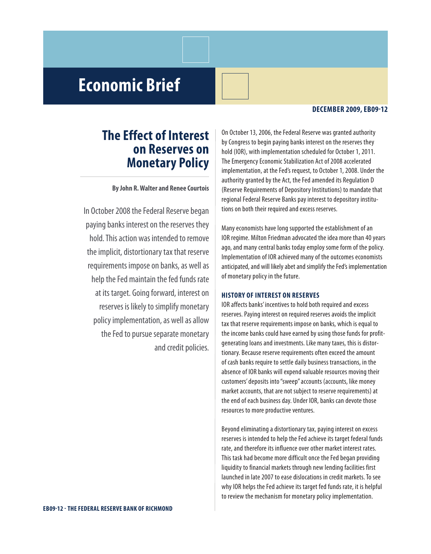# **Economic Brief**

#### **DECEMBER 2009,EB09-12**

## **the Effect of interest on Reserves on Monetary Policy**

**ByJohn R.Walter and Renee Courtois**

In October 2008 the Federal Reserve began paying banks interest on the reserves they hold. This action was intended to remove the implicit, distortionary tax that reserve requirements impose on banks, as well as help the Fed maintain the fed funds rate at its target. Going forward, interest on reserves is likely to simplify monetary policy implementation, as well as allow the Fed to pursue separate monetary and credit policies.

On October 13, 2006, the Federal Reserve was granted authority by Congress to begin paying banks interest on the reserves they hold (IOR), with implementation scheduled for October 1, 2011. The Emergency Economic Stabilization Act of 2008 accelerated implementation, at the Fed's request, to October 1, 2008. Under the authority granted by the Act, the Fed amended its Regulation D (Reserve Requirementsof Depository Institutions) to mandate that regional Federal Reserve Banks pay interest to depository institutions on both their required and excess reserves.

Many economists have long supported the establishment of an IOR regime. Milton Friedman advocated the idea more than 40 years ago, and many central banks today employ some form of the policy. Implementation of IOR achieved many of the outcomes economists anticipated, and will likely abet and simplify the Fed's implementation of monetary policy in the future.

### **HistoRy of intEREst on REsERvEs**

IOR affects banks' incentives to hold both required and excess reserves. Paying interest on required reserves avoids the implicit tax that reserve requirements imposeon banks, which is equal to the income banks could have earned by using those funds for profitgenerating loans and investments. Like many taxes, this is distortionary. Because reserve requirements often exceed the amount of cash banks require to settle daily business transactions, in the absence of IOR banks will expend valuable resources moving their customers'deposits into"sweep"accounts (accounts, like money market accounts, that are not subject to reserve requirements) at the end of each business day. Under IOR, banks can devote those resources to more productive ventures.

Beyond eliminating a distortionary tax, paying interest on excess reserves is intended to help the Fed achieve its target federal funds rate, and therefore its influence over other market interest rates. This task had become more difficult once the Fed began providing liquidity to financial markets through new lending facilities first launched in late 2007 to ease dislocations in credit markets. To see why IOR helps the Fed achieve its target fed funds rate, it is helpful to review the mechanism for monetary policy implementation.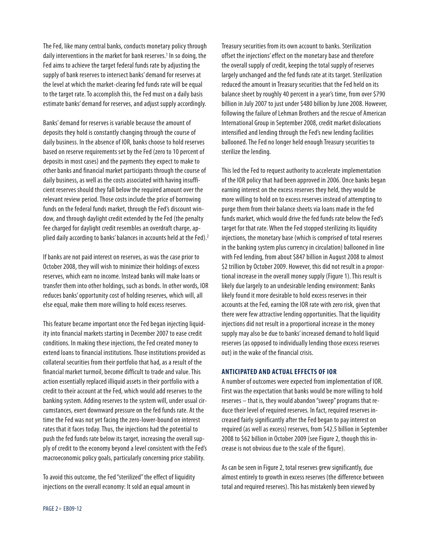The Fed, like many central banks, conducts monetary policy through daily interventions in the market for bank reserves.<sup>1</sup> In so doing, the Fed aims to achieve the target federal funds rate by adjusting the supply of bank reserves to intersect banks' demand for reserves at the level at which the market-clearing fed funds rate will be equal to the target rate. To accomplish this, the Fed must on a daily basis estimate banks' demand for reserves, and adjust supply accordingly.

Banks' demand for reserves is variable because the amount of deposits they hold is constantly changing through the course of daily business. In the absence of IOR, banks choose to hold reserves based on reserve requirements set by the Fed (zero to 10 percent of deposits in most cases) and the payments they expect to make to other banks and financial market participants through the course of daily business, as well as the costs associated with having insufficient reserves should they fall below the required amount over the relevant review period. Those costs include the price of borrowing funds on the federal funds market, through the Fed's discount window, and through daylight credit extended by the Fed (the penalty fee charged for daylight credit resembles an overdraft charge, applied daily according to banks' balances in accounts held at the Fed).<sup>2</sup>

If banks are not paid interest on reserves, as was the case prior to October 2008, they will wish to minimize their holdings of excess reserves, which earn no income. Instead banks will make loans or transfer them into other holdings, such as bonds. In other words, IOR reduces banks' opportunity cost of holding reserves, which will, all else equal, make them more willing to hold excess reserves.

This feature became important once the Fed began injecting liquidity into financial markets starting in December 2007 to ease credit conditions. In making these injections, the Fed created money to extend loans to financial institutions. Those institutions provided as collateral securities from their portfolio that had, as a result of the financial market turmoil, become difficult to trade and value. This action essentially replaced illiquid assets in their portfolio with a credit to their account at the Fed, which would add reserves to the banking system. Adding reserves to the system will, under usual circumstances, exert downward pressure on the fed funds rate. At the time the Fed was not yet facing the zero-lower-bound on interest rates that it faces today. Thus, the injections had the potential to push the fed funds rate below its target, increasing the overall supply of credit to the economy beyond a level consistent with the Fed's macroeconomic policy goals, particularly concerning price stability.

To avoid this outcome, the Fed "sterilized" the effect of liquidity injections on the overall economy: It sold an equal amount in

Treasury securities from its own account to banks. Sterilization offset the injections' effect on the monetary base and therefore the overall supply of credit, keeping the total supply of reserves largely unchanged and the fed funds rate at its target. Sterilization reduced the amount in Treasury securities that the Fed held on its balance sheet by roughly 40 percent in a year's time, from over \$790 billion in July 2007 to just under \$480 billion by June 2008. However, following the failure of Lehman Brothers and the rescue of American International Group in September 2008, credit market dislocations intensified and lending through the Fed's new lending facilities ballooned. The Fed no longer held enough Treasury securities to sterilize the lending.

This led the Fed to request authority to accelerate implementation of the IOR policy that had been approved in 2006. Once banks began earning interest on the excess reserves they held, they would be more willing to hold on to excess reserves instead of attempting to purge them from their balance sheets via loans made in the fed funds market, which would drive the fed funds rate below the Fed's target for that rate. When the Fed stopped sterilizing its liquidity injections, the monetary base (which is comprised of total reserves in the banking system plus currency in circulation) ballooned in line with Fed lending, from about \$847 billion in August 2008 to almost \$2 trillion by October 2009. However, this did not result in a proportional increase in the overall money supply (Figure 1). This result is likely due largely to an undesirable lending environment: Banks likely found it more desirable to hold excess reserves in their accounts at the Fed, earning the IOR rate with zero risk, given that there were few attractive lending opportunities. That the liquidity injections did not result in a proportional increase in the money supply may also be due to banks' increased demand to hold liquid reserves (as opposed to individually lending those excess reserves out) in the wake of the financial crisis.

#### **antiCiPatED anD aCtual EffECts of ioR**

A number of outcomes were expected from implementation of IOR. First was the expectation that banks would be more willing to hold reserves – that is, they wouldabandon "sweep"programs that reduce their level of required reserves. In fact, required reserves increased fairly significantly after the Fed began to pay interest on required (as well as excess) reserves, from \$42.5 billion in September 2008 to \$62 billion in October 2009 (see Figure 2, though this increase is not obvious due to the scale of the figure).

As can be seen in Figure 2, total reserves grew significantly, due almost entirely to growth in excess reserves (the difference between total and required reserves). This has mistakenly been viewed by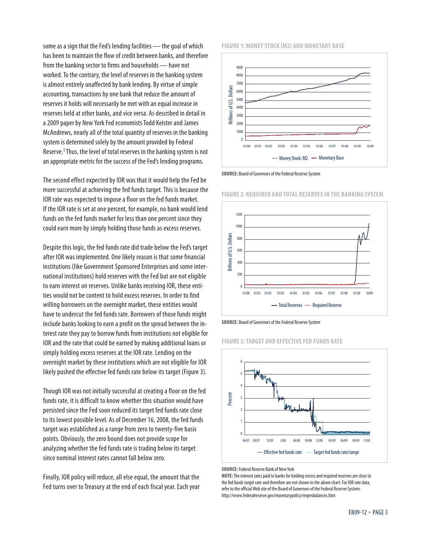some as a sign that the Fed's lending facilities — the goal of which has been to maintain the flow of credit between banks, and therefore from the banking sector to firms and households — have not worked. To the contrary, the level of reserves in the banking system is almost entirely unaffected by bank lending. By virtue of simple accounting, transactions by one bank that reduce the amount of reserves it holds will necessarily be met with an equal increase in reserves held at other banks, and vice versa. As described in detail in a 2009 paper by New York Fed economists Todd Keister and James McAndrews, nearly all of the total quantity of reserves in the banking system is determined solely by the amount provided by Federal Reserve.<sup>3</sup> Thus, the level of total reserves in the banking system is not an appropriate metric for the success of the Fed's lending programs.

The second effect expected by IOR was that it would help the Fed be more successful at achieving the fed funds target. This is because the IOR rate was expected to impose a floor on the fed funds market. If the IOR rate is set at one percent, for example, no bank would lend funds on the fed funds market for less than one percent since they could earn more by simply holding those funds as excess reserves.

Despite this logic, the fed funds rate did trade below the Fed's target after IOR was implemented. One likely reason is that some financial institutions (like Government Sponsored Enterprises and some international institutions) hold reserves with the Fed but are not eligible to earn interest on reserves. Unlike banks receiving IOR, these entities would not be content to hold excess reserves. In order to find willing borrowers on the overnight market, these entities would have to undercut the fed funds rate. Borrowers of those funds might include banks looking to earn a profit on the spread between the interest rate they pay to borrow funds from institutions not eligible for IOR and the rate that could be earned by making additional loans or simply holding excess reserves at the IOR rate. Lending on the overnight market by these institutions which are not eligible for IOR likely pushed the effective fed funds rate below its target (Figure 3).

Though IOR was not initially successful at creating a floor on the fed funds rate, it is difficult to know whether this situation would have persisted since the Fed soon reduced its target fed funds rate close to its lowest possible level. As of December 16, 2008, the fed funds target was established as a range from zero to twenty-five basis points. Obviously, the zero bound does not provide scope for analyzing whether the fed funds rate is trading below its target since nominal interest rates cannot fall below zero.

Finally, IOR policy will reduce, all else equal, the amount that the Fed turns over to Treasury at the end of each fiscal year. Each year

#### **figuRE 1:MonEy stoCk (M2) anD MonEtaRy BasE**



**SOURCE:** Board of Governors of the Federal Reserve System

**figuRE 2: REQuiRED anD total REsERvEsin tHE Banking systEM**





**figuRE 3:taRgEt anD EffECtivEfED funDs RatE**



**SOURCE:** Federal Reserve Bank of New York

**NOTE:** The interest rates paid to banks for holding excess and required reserves are close to the fed funds target rate and therefore are not shown in the above chart. For IOR rate data, refer to the official Web site of the Board of Governors of the Federal Reserve System: http://www.federalreserve.gov/monetarypolicy/reqresbalances.htm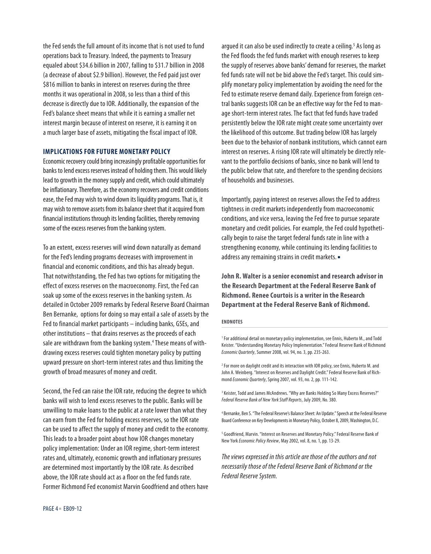the Fed sends the full amount of its income that is not used to fund operations back to Treasury. Indeed, the payments to Treasury equaled about \$34.6 billion in 2007, falling to \$31.7 billion in 2008 (a decrease of about \$2.9 billion). However, the Fed paid just over \$816 million to banks in interest on reserves during the three months it was operational in 2008, so less than a third of this decrease is directly due to IOR. Additionally, the expansion of the Fed's balance sheet means that while it is earning a smaller net interest margin because of interest on reserve, it is earning it on a much larger base of assets, mitigating the fiscal impact of IOR.

#### **IMPLICATIONS FOR FUTURE MONETARY POLICY**

Economic recovery could bring increasingly profitable opportunities for banks to lend excess reserves instead of holding them. This would likely lead to growth in the money supply and credit, which could ultimately be inflationary. Therefore, as the economy recovers and credit conditions ease, the Fed may wish to wind down its liquidity programs. That is, it may wish to remove assets from its balance sheet that it acquired from financial institutions through its lending facilities, thereby removing some of the excess reserves from the banking system.

To an extent, excess reserves will wind down naturally as demand for the Fed's lending programs decreases with improvement in financial and economic conditions, and this has already begun. That notwithstanding, the Fed has two options for mitigating the effect of excess reserves on the macroeconomy. First, the Fed can soak up some of the excess reserves in the banking system. As detailed in October 2009 remarks by Federal Reserve Board Chairman Ben Bernanke, options for doing so may entail a sale of assets by the Fed to financial market participants - including banks, GSEs, and other institutions - that drains reserves as the proceeds of each sale are withdrawn from the banking system.<sup>4</sup> These means of withdrawing excess reserves could tighten monetary policy by putting upward pressure on short-term interest rates and thus limiting the growth of broad measures of money and credit.

Second, the Fed can raise the IOR rate, reducing the degree to which banks will wish to lend excess reserves to the public. Banks will be unwilling to make loans to the public at a rate lower than what they can earn from the Fed for holding excess reserves, so the IOR rate can be used to affect the supply of money and credit to the economy. This leads to a broader point about how IOR changes monetary policy implementation: Under an IOR regime, short-term interest rates and, ultimately, economic growth and inflationary pressures are determined most importantly by the IOR rate. As described above, the IOR rate should act as a floor on the fed funds rate. Former Richmond Fed economist Marvin Goodfriend and others have argued it can also be used indirectly to create a ceiling.<sup>5</sup> As long as the Fed floods the fed funds market with enough reserves to keep the supply of reserves above banks' demand for reserves, the market fed funds rate will not be bid above the Fed's target. This could simplify monetary policy implementation by avoiding the need for the Fed to estimate reserve demand daily. Experience from foreign central banks suggests IOR can be an effective way for the Fed to manage short-term interest rates. The fact that fed funds have traded persistently below the IOR rate might create some uncertainty over the likelihood of this outcome. But trading below IOR has largely been due to the behavior of nonbank institutions, which cannot earn interest on reserves. A rising IOR rate will ultimately be directly relevant to the portfolio decisions of banks, since no bank will lend to the public below that rate, and therefore to the spending decisions of households and businesses.

Importantly, paying interest on reserves allows the Fed to address tightness in credit markets independently from macroeconomic conditions, and vice versa, leaving the Fed free to pursue separate monetary and credit policies. For example, the Fed could hypothetically begin to raise the target federal funds rate in line with a strengthening economy, while continuing its lending facilities to address any remaining strains in credit markets. .

John R. Walter is a senior economist and research advisor in the Research Department at the Federal Reserve Bank of **Richmond. Renee Courtois is a writer in the Research** Department at the Federal Reserve Bank of Richmond.

#### **ENDNOTES**

<sup>1</sup> For additional detail on monetary policy implementation, see Ennis, Huberto M., and Todd Keister. "Understanding Monetary Policy Implementation." Federal Reserve Bank of Richmond Economic Quarterly, Summer 2008, vol. 94, no. 3, pp. 235-263.

<sup>2</sup> For more on daylight credit and its interaction with IOR policy, see Ennis, Huberto M. and John A. Weinberg. "Interest on Reserves and Daylight Credit." Federal Reserve Bank of Richmond Economic Quarterly, Spring 2007, vol. 93, no. 2, pp. 111-142.

<sup>3</sup> Keister, Todd and James McAndrews. "Why are Banks Holding So Many Excess Reserves?" Federal Reserve Bank of New York Staff Reports, July 2009, No. 380.

<sup>4</sup> Bernanke, Ben S. "The Federal Reserve's Balance Sheet: An Update." Speech at the Federal Reserve Board Conference on Key Developments in Monetary Policy, October 8, 2009, Washington, D.C.

<sup>5</sup> Goodfriend, Marvin. "Interest on Reserves and Monetary Policy." Federal Reserve Bank of New York Economic Policy Review, May 2002, vol. 8, no. 1, pp. 13-29.

The views expressed in this article are those of the authors and not necessarily those of the Federal Reserve Bank of Richmond or the Federal Reserve System.